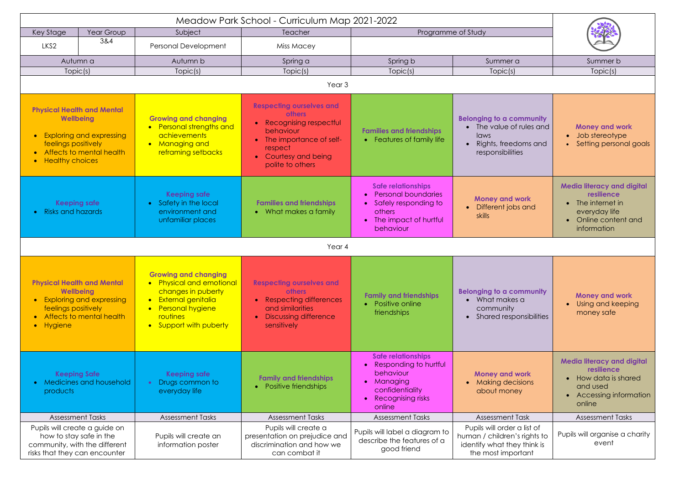| Year Group<br>Key Stage                                                                                                                                               |     | Subject                                                                                                                                                           | Teacher                                                                                                                                                                 | Programme of Study                                                                                                                           |                                                                                                                  |                                                                                                                            |  |  |  |
|-----------------------------------------------------------------------------------------------------------------------------------------------------------------------|-----|-------------------------------------------------------------------------------------------------------------------------------------------------------------------|-------------------------------------------------------------------------------------------------------------------------------------------------------------------------|----------------------------------------------------------------------------------------------------------------------------------------------|------------------------------------------------------------------------------------------------------------------|----------------------------------------------------------------------------------------------------------------------------|--|--|--|
| LKS <sub>2</sub>                                                                                                                                                      | 3&4 | Personal Development                                                                                                                                              | Miss Macey                                                                                                                                                              |                                                                                                                                              |                                                                                                                  |                                                                                                                            |  |  |  |
| Autumn a                                                                                                                                                              |     | Autumn b                                                                                                                                                          | Spring a                                                                                                                                                                | Spring b                                                                                                                                     | Summer a                                                                                                         | Summer b                                                                                                                   |  |  |  |
| Topic(s)                                                                                                                                                              |     | Topic(s)                                                                                                                                                          | Topic(s)                                                                                                                                                                | Topic(s)                                                                                                                                     | Topic(s)                                                                                                         | Topic(s)                                                                                                                   |  |  |  |
| Year <sub>3</sub>                                                                                                                                                     |     |                                                                                                                                                                   |                                                                                                                                                                         |                                                                                                                                              |                                                                                                                  |                                                                                                                            |  |  |  |
| <b>Physical Health and Mental</b><br><b>Wellbeing</b><br><b>Exploring and expressing</b><br>feelings positively<br>Affects to mental health<br><b>Healthy choices</b> |     | <b>Growing and changing</b><br>• Personal strengths and<br>achievements<br>• Managing and<br>reframing setbacks                                                   | <b>Respecting ourselves and</b><br><b>others</b><br>Recognising respectful<br>behaviour<br>The importance of self-<br>respect<br>Courtesy and being<br>polite to others | <b>Families and friendships</b><br>• Features of family life                                                                                 | <b>Belonging to a community</b><br>• The value of rules and<br>laws<br>Rights, freedoms and<br>responsibilities  | <b>Money and work</b><br>Job stereotype<br>$\bullet$<br>Setting personal goals                                             |  |  |  |
| <b>Keeping safe</b><br>• Risks and hazards                                                                                                                            |     | <b>Keeping safe</b><br>• Safety in the local<br>environment and<br>unfamiliar places                                                                              | <b>Families and friendships</b><br>• What makes a family                                                                                                                | <b>Safe relationships</b><br><b>Personal boundaries</b><br>Safely responding to<br>others<br>The impact of hurtful<br>$\bullet$<br>behaviour | <b>Money and work</b><br>• Different jobs and<br>skills                                                          | <b>Media literacy and digital</b><br>resilience<br>The internet in<br>everyday life<br>• Online content and<br>information |  |  |  |
| Year 4                                                                                                                                                                |     |                                                                                                                                                                   |                                                                                                                                                                         |                                                                                                                                              |                                                                                                                  |                                                                                                                            |  |  |  |
| <b>Physical Health and Mental</b><br>Wellbeing<br>• Exploring and expressing<br>feelings positively<br>Affects to mental health<br>· Hygiene                          |     | <b>Growing and changing</b><br>• Physical and emotional<br>changes in puberty<br>• External genitalia<br>• Personal hygiene<br>routines<br>• Support with puberty | <b>Respecting ourselves and</b><br><b>others</b><br>• Respecting differences<br>and similarities<br><b>Discussing difference</b><br>sensitively                         | <b>Family and friendships</b><br>• Positive online<br>friendships                                                                            | <b>Belonging to a community</b><br>$\bullet$ What makes a<br>community<br>Shared responsibilities                | <b>Money and work</b><br>Using and keeping<br>money safe                                                                   |  |  |  |
| <b>Keeping Safe</b><br>• Medicines and household<br>products                                                                                                          |     | <b>Keeping safe</b><br>Drugs common to<br>everyday life                                                                                                           | <b>Family and friendships</b><br>Positive friendships                                                                                                                   | <b>Safe relationships</b><br>• Responding to hurtful<br>behaviour<br>• Managing<br>confidentiality<br>• Recognising risks<br>online          | <b>Money and work</b><br><b>Making decisions</b><br>about money                                                  | <b>Media literacy and digital</b><br>resilience<br>• How data is shared<br>and used<br>• Accessing information<br>online   |  |  |  |
| <b>Assessment Tasks</b>                                                                                                                                               |     | <b>Assessment Tasks</b>                                                                                                                                           | <b>Assessment Tasks</b>                                                                                                                                                 | <b>Assessment Tasks</b>                                                                                                                      | <b>Assessment Task</b>                                                                                           | <b>Assessment Tasks</b>                                                                                                    |  |  |  |
| Pupils will create a guide on<br>how to stay safe in the<br>community, with the different<br>risks that they can encounter                                            |     | Pupils will create an<br>information poster                                                                                                                       | Pupils will create a<br>presentation on prejudice and<br>discrimination and how we<br>can combat it                                                                     | Pupils will label a diagram to<br>describe the features of a<br>good friend                                                                  | Pupils will order a list of<br>human / children's rights to<br>identify what they think is<br>the most important | Pupils will organise a charity<br>event                                                                                    |  |  |  |